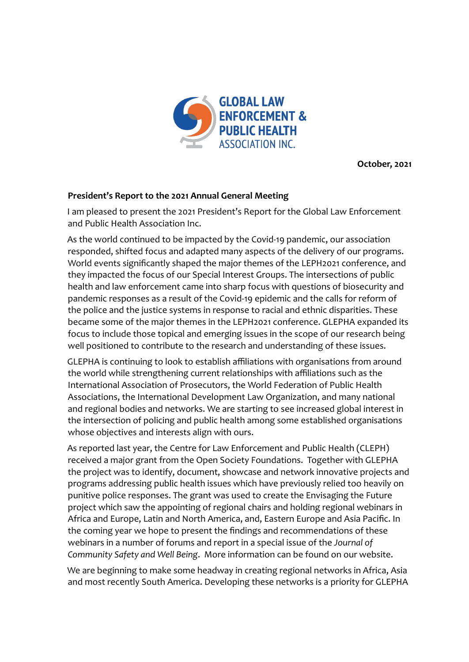

**October, 2021**

## **President's Report to the 2021 Annual General Meeting**

I am pleased to present the 2021 President's Report for the Global Law Enforcement and Public Health Association Inc.

As the world continued to be impacted by the Covid-19 pandemic, our association responded, shifted focus and adapted many aspects of the delivery of our programs. World events significantly shaped the major themes of the LEPH2021 conference, and they impacted the focus of our Special Interest Groups. The intersections of public health and law enforcement came into sharp focus with questions of biosecurity and pandemic responses as a result of the Covid-19 epidemic and the calls for reform of the police and the justice systems in response to racial and ethnic disparities. These became some of the major themes in the LEPH2021 conference. GLEPHA expanded its focus to include those topical and emerging issues in the scope of our research being well positioned to contribute to the research and understanding of these issues.

GLEPHA is continuing to look to establish affiliations with organisations from around the world while strengthening current relationships with affiliations such as the International Association of Prosecutors, the World Federation of Public Health Associations, the International Development Law Organization, and many national and regional bodies and networks. We are starting to see increased global interest in the intersection of policing and public health among some established organisations whose objectives and interests align with ours.

As reported last year, the Centre for Law Enforcement and Public Health (CLEPH) received a major grant from the Open Society Foundations. Together with GLEPHA the project was to identify, document, showcase and network innovative projects and programs addressing public health issues which have previously relied too heavily on punitive police responses. The grant was used to create the Envisaging the Future project which saw the appointing of regional chairs and holding regional webinars in Africa and Europe, Latin and North America, and, Eastern Europe and Asia Pacific. In the coming year we hope to present the findings and recommendations of these webinars in a number of forums and report in a special issue of the *Journal of Community Safety and Well Being*. More information can be found on our website.

We are beginning to make some headway in creating regional networks in Africa, Asia and most recently South America. Developing these networks is a priority for GLEPHA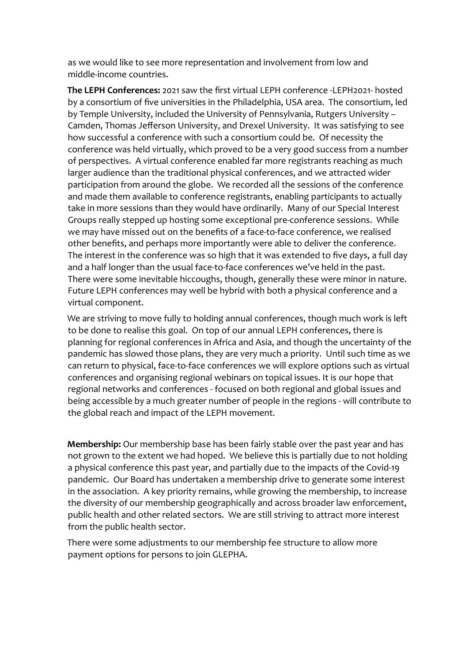as we would like to see more representation and involvement from low and middle-income countries.

**The LEPH Conferences:** 2021 saw the first virtual LEPH conference -LEPH2021- hosted by a consortium of five universities in the Philadelphia, USA area. The consortium, led by Temple University, included the University of Pennsylvania, Rutgers University – Camden, Thomas Jefferson University, and Drexel University. It was satisfying to see how successful a conference with such a consortium could be. Of necessity the conference was held virtually, which proved to be a very good success from a number of perspectives. A virtual conference enabled far more registrants reaching as much larger audience than the traditional physical conferences, and we attracted wider participation from around the globe. We recorded all the sessions of the conference and made them available to conference registrants, enabling participants to actually take in more sessions than they would have ordinarily. Many of our Special Interest Groups really stepped up hosting some exceptional pre-conference sessions. While we may have missed out on the benefits of a face-to-face conference, we realised other benefits, and perhaps more importantly were able to deliver the conference. The interest in the conference was so high that it was extended to five days, a full day and a half longer than the usual face-to-face conferences we've held in the past. There were some inevitable hiccoughs, though, generally these were minor in nature. Future LEPH conferences may well be hybrid with both a physical conference and a virtual component.

We are striving to move fully to holding annual conferences, though much work is left to be done to realise this goal. On top of our annual LEPH conferences, there is planning for regional conferences in Africa and Asia, and though the uncertainty of the pandemic has slowed those plans, they are very much a priority. Until such time as we can return to physical, face-to-face conferences we will explore options such as virtual conferences and organising regional webinars on topical issues. It is our hope that regional networks and conferences - focused on both regional and global issues and being accessible by a much greater number of people in the regions - will contribute to the global reach and impact of the LEPH movement.

**Membership:** Our membership base has been fairly stable over the past year and has not grown to the extent we had hoped. We believe this is partially due to not holding a physical conference this past year, and partially due to the impacts of the Covid-19 pandemic. Our Board has undertaken a membership drive to generate some interest in the association. A key priority remains, while growing the membership, to increase the diversity of our membership geographically and across broader law enforcement, public health and other related sectors. We are still striving to attract more interest from the public health sector.

There were some adjustments to our membership fee structure to allow more payment options for persons to join GLEPHA.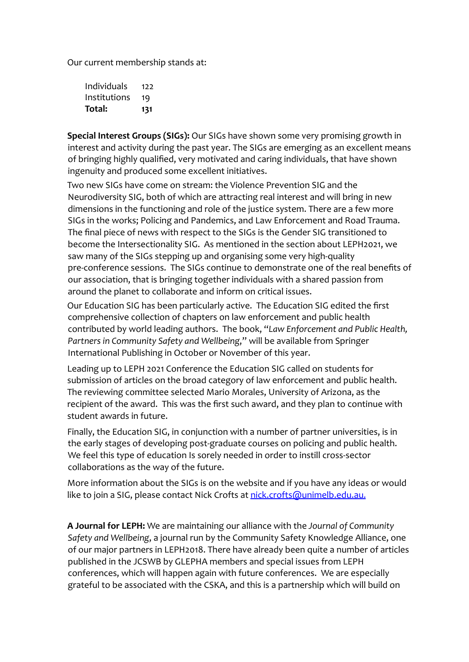Our current membership stands at:

| Individuals  | 177 |
|--------------|-----|
| Institutions | 19  |
| Total:       | 131 |

**Special Interest Groups (SIGs):** Our SIGs have shown some very promising growth in interest and activity during the past year. The SIGs are emerging as an excellent means of bringing highly qualified, very motivated and caring individuals, that have shown ingenuity and produced some excellent initiatives.

Two new SIGs have come on stream: the Violence Prevention SIG and the Neurodiversity SIG, both of which are attracting real interest and will bring in new dimensions in the functioning and role of the justice system. There are a few more SIGs in the works; Policing and Pandemics, and Law Enforcement and Road Trauma. The final piece of news with respect to the SIGs is the Gender SIG transitioned to become the Intersectionality SIG. As mentioned in the section about LEPH2021, we saw many of the SIGs stepping up and organising some very high-quality pre-conference sessions. The SIGs continue to demonstrate one of the real benefits of our association, that is bringing together individuals with a shared passion from around the planet to collaborate and inform on critical issues.

Our Education SIG has been particularly active. The Education SIG edited the first comprehensive collection of chapters on law enforcement and public health contributed by world leading authors. The book, "*Law Enforcement and Public Health, Partners in Community Safety and Wellbeing*," will be available from Springer International Publishing in October or November of this year.

Leading up to LEPH 2021 Conference the Education SIG called on students for submission of articles on the broad category of law enforcement and public health. The reviewing committee selected Mario Morales, University of Arizona, as the recipient of the award. This was the first such award, and they plan to continue with student awards in future.

Finally, the Education SIG, in conjunction with a number of partner universities, is in the early stages of developing post-graduate courses on policing and public health. We feel this type of education Is sorely needed in order to instill cross-sector collaborations as the way of the future.

More information about the SIGs is on the website and if you have any ideas or would like to join a SIG, please contact Nick Crofts at nick.crofts@unimelb.edu.au.

**A Journal for LEPH:** We are maintaining our alliance with the *Journal of Community Safety and Wellbeing*, a journal run by the Community Safety Knowledge Alliance, one of our major partners in LEPH2018. There have already been quite a number of articles published in the JCSWB by GLEPHA members and special issues from LEPH conferences, which will happen again with future conferences. We are especially grateful to be associated with the CSKA, and this is a partnership which will build on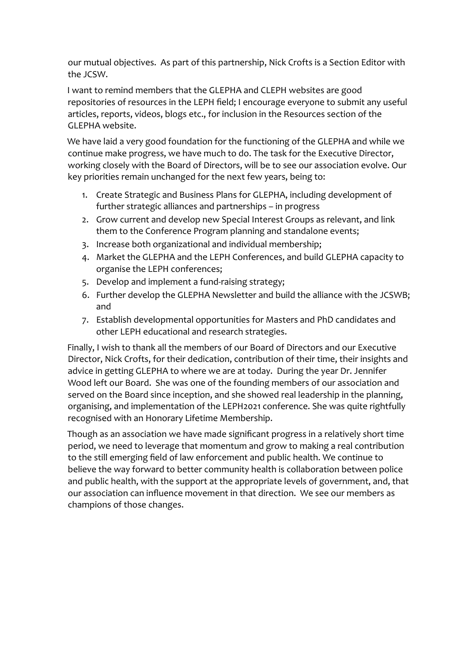our mutual objectives. As part of this partnership, Nick Crofts is a Section Editor with the JCSW.

I want to remind members that the GLEPHA and CLEPH websites are good repositories of resources in the LEPH field; I encourage everyone to submit any useful articles, reports, videos, blogs etc., for inclusion in the Resources section of the GLEPHA website.

We have laid a very good foundation for the functioning of the GLEPHA and while we continue make progress, we have much to do. The task for the Executive Director, working closely with the Board of Directors, will be to see our association evolve. Our key priorities remain unchanged for the next few years, being to:

- 1. Create Strategic and Business Plans for GLEPHA, including development of further strategic alliances and partnerships – in progress
- 2. Grow current and develop new Special Interest Groups as relevant, and link them to the Conference Program planning and standalone events;
- 3. Increase both organizational and individual membership;
- 4. Market the GLEPHA and the LEPH Conferences, and build GLEPHA capacity to organise the LEPH conferences;
- 5. Develop and implement a fund-raising strategy;
- 6. Further develop the GLEPHA Newsletter and build the alliance with the JCSWB; and
- 7. Establish developmental opportunities for Masters and PhD candidates and other LEPH educational and research strategies.

Finally, I wish to thank all the members of our Board of Directors and our Executive Director, Nick Crofts, for their dedication, contribution of their time, their insights and advice in getting GLEPHA to where we are at today. During the year Dr. Jennifer Wood left our Board. She was one of the founding members of our association and served on the Board since inception, and she showed real leadership in the planning, organising, and implementation of the LEPH2021 conference. She was quite rightfully recognised with an Honorary Lifetime Membership.

Though as an association we have made significant progress in a relatively short time period, we need to leverage that momentum and grow to making a real contribution to the still emerging field of law enforcement and public health. We continue to believe the way forward to better community health is collaboration between police and public health, with the support at the appropriate levels of government, and, that our association can influence movement in that direction. We see our members as champions of those changes.